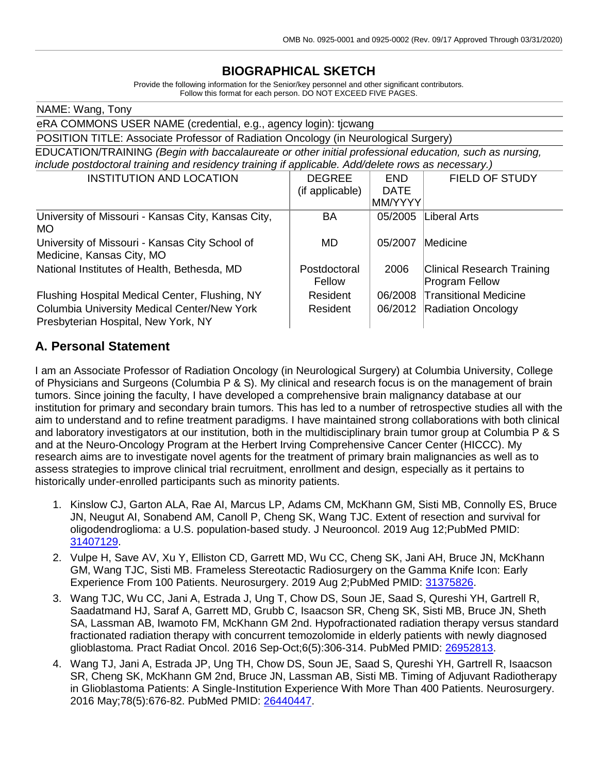## **BIOGRAPHICAL SKETCH**

Provide the following information for the Senior/key personnel and other significant contributors. Follow this format for each person. DO NOT EXCEED FIVE PAGES.

| NAME: Wang, Tony                                                                                       |                 |             |                                   |
|--------------------------------------------------------------------------------------------------------|-----------------|-------------|-----------------------------------|
| eRA COMMONS USER NAME (credential, e.g., agency login): tjcwang                                        |                 |             |                                   |
| POSITION TITLE: Associate Professor of Radiation Oncology (in Neurological Surgery)                    |                 |             |                                   |
| EDUCATION/TRAINING (Begin with baccalaureate or other initial professional education, such as nursing, |                 |             |                                   |
| include postdoctoral training and residency training if applicable. Add/delete rows as necessary.)     |                 |             |                                   |
| <b>INSTITUTION AND LOCATION</b>                                                                        | <b>DEGREE</b>   | <b>END</b>  | <b>FIELD OF STUDY</b>             |
|                                                                                                        | (if applicable) | <b>DATE</b> |                                   |
|                                                                                                        |                 | MM/YYYY     |                                   |
| University of Missouri - Kansas City, Kansas City,                                                     | BA              | 05/2005     | Liberal Arts                      |
| MO.                                                                                                    |                 |             |                                   |
| University of Missouri - Kansas City School of                                                         | MD.             | 05/2007     | Medicine                          |
| Medicine, Kansas City, MO                                                                              |                 |             |                                   |
| National Institutes of Health, Bethesda, MD                                                            | Postdoctoral    | 2006        | <b>Clinical Research Training</b> |
|                                                                                                        | Fellow          |             | <b>Program Fellow</b>             |
| Flushing Hospital Medical Center, Flushing, NY                                                         | Resident        | 06/2008     | Transitional Medicine             |
| <b>Columbia University Medical Center/New York</b>                                                     | Resident        | 06/2012     | <b>Radiation Oncology</b>         |
| Presbyterian Hospital, New York, NY                                                                    |                 |             |                                   |

## **A. Personal Statement**

I am an Associate Professor of Radiation Oncology (in Neurological Surgery) at Columbia University, College of Physicians and Surgeons (Columbia P  $\&$  S). My clinical and research focus is on the management of brain tumors. Since joining the faculty, I have developed a comprehensive brain malignancy database at our institution for primary and secondary brain tumors. This has led to a number of retrospective studies all with the aim to understand and to refine treatment paradigms. I have maintained strong collaborations with both clinical and laboratory investigators at our institution, both in the multidisciplinary brain tumor group at Columbia P & S and at the Neuro-Oncology Program at the Herbert Irving Comprehensive Cancer Center (HICCC). My research aims are to investigate novel agents for the treatment of primary brain malignancies as well as to assess strategies to improve clinical trial recruitment, enrollment and design, especially as it pertains to historically under-enrolled participants such as minority patients.

- 1. Kinslow CJ, Garton ALA, Rae AI, Marcus LP, Adams CM, McKhann GM, Sisti MB, Connolly ES, Bruce JN, Neugut AI, Sonabend AM, Canoll P, Cheng SK, Wang TJC. Extent of resection and survival for oligodendroglioma: a U.S. population-based study. J Neurooncol. 2019 Aug 12;PubMed PMID: [31407129.](http://www.ncbi.nlm.nih.gov/pubmed/31407129/)
- 2. Vulpe H, Save AV, Xu Y, Elliston CD, Garrett MD, Wu CC, Cheng SK, Jani AH, Bruce JN, McKhann GM, Wang TJC, Sisti MB. Frameless Stereotactic Radiosurgery on the Gamma Knife Icon: Early Experience From 100 Patients. Neurosurgery. 2019 Aug 2;PubMed PMID: [31375826.](http://www.ncbi.nlm.nih.gov/pubmed/31375826/)
- 3. Wang TJC, Wu CC, Jani A, Estrada J, Ung T, Chow DS, Soun JE, Saad S, Qureshi YH, Gartrell R, Saadatmand HJ, Saraf A, Garrett MD, Grubb C, Isaacson SR, Cheng SK, Sisti MB, Bruce JN, Sheth SA, Lassman AB, Iwamoto FM, McKhann GM 2nd. Hypofractionated radiation therapy versus standard fractionated radiation therapy with concurrent temozolomide in elderly patients with newly diagnosed glioblastoma. Pract Radiat Oncol. 2016 Sep-Oct;6(5):306-314. PubMed PMID: [26952813.](http://www.ncbi.nlm.nih.gov/pubmed/26952813/)
- 4. Wang TJ, Jani A, Estrada JP, Ung TH, Chow DS, Soun JE, Saad S, Qureshi YH, Gartrell R, Isaacson SR, Cheng SK, McKhann GM 2nd, Bruce JN, Lassman AB, Sisti MB. Timing of Adjuvant Radiotherapy in Glioblastoma Patients: A Single-Institution Experience With More Than 400 Patients. Neurosurgery. 2016 May;78(5):676-82. PubMed PMID: [26440447.](http://www.ncbi.nlm.nih.gov/pubmed/26440447/)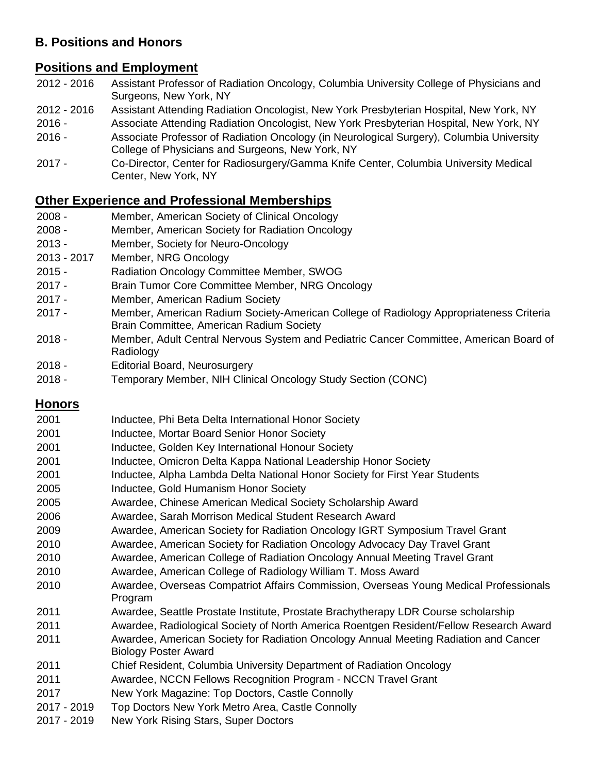# **B. Positions and Honors**

## **Positions and Employment**

- 2016 Assistant Professor of Radiation Oncology, Columbia University College of Physicians and Surgeons, New York, NY
- 2016 Assistant Attending Radiation Oncologist, New York Presbyterian Hospital, New York, NY
- Associate Attending Radiation Oncologist, New York Presbyterian Hospital, New York, NY
- Associate Professor of Radiation Oncology (in Neurological Surgery), Columbia University College of Physicians and Surgeons, New York, NY
- Co-Director, Center for Radiosurgery/Gamma Knife Center, Columbia University Medical Center, New York, NY

# **Other Experience and Professional Memberships**

- Member, American Society of Clinical Oncology
- Member, American Society for Radiation Oncology
- Member, Society for Neuro-Oncology
- 2017 Member, NRG Oncology
- Radiation Oncology Committee Member, SWOG
- Brain Tumor Core Committee Member, NRG Oncology
- Member, American Radium Society
- Member, American Radium Society-American College of Radiology Appropriateness Criteria Brain Committee, American Radium Society
- Member, Adult Central Nervous System and Pediatric Cancer Committee, American Board of Radiology
- Editorial Board, Neurosurgery
- Temporary Member, NIH Clinical Oncology Study Section (CONC)

# **Honors**

 Inductee, Phi Beta Delta International Honor Society Inductee, Mortar Board Senior Honor Society Inductee, Golden Key International Honour Society Inductee, Omicron Delta Kappa National Leadership Honor Society Inductee, Alpha Lambda Delta National Honor Society for First Year Students Inductee, Gold Humanism Honor Society Awardee, Chinese American Medical Society Scholarship Award Awardee, Sarah Morrison Medical Student Research Award Awardee, American Society for Radiation Oncology IGRT Symposium Travel Grant Awardee, American Society for Radiation Oncology Advocacy Day Travel Grant Awardee, American College of Radiation Oncology Annual Meeting Travel Grant Awardee, American College of Radiology William T. Moss Award Awardee, Overseas Compatriot Affairs Commission, Overseas Young Medical Professionals Program Awardee, Seattle Prostate Institute, Prostate Brachytherapy LDR Course scholarship Awardee, Radiological Society of North America Roentgen Resident/Fellow Research Award Awardee, American Society for Radiation Oncology Annual Meeting Radiation and Cancer Biology Poster Award Chief Resident, Columbia University Department of Radiation Oncology Awardee, NCCN Fellows Recognition Program - NCCN Travel Grant New York Magazine: Top Doctors, Castle Connolly - 2019 Top Doctors New York Metro Area, Castle Connolly - 2019 New York Rising Stars, Super Doctors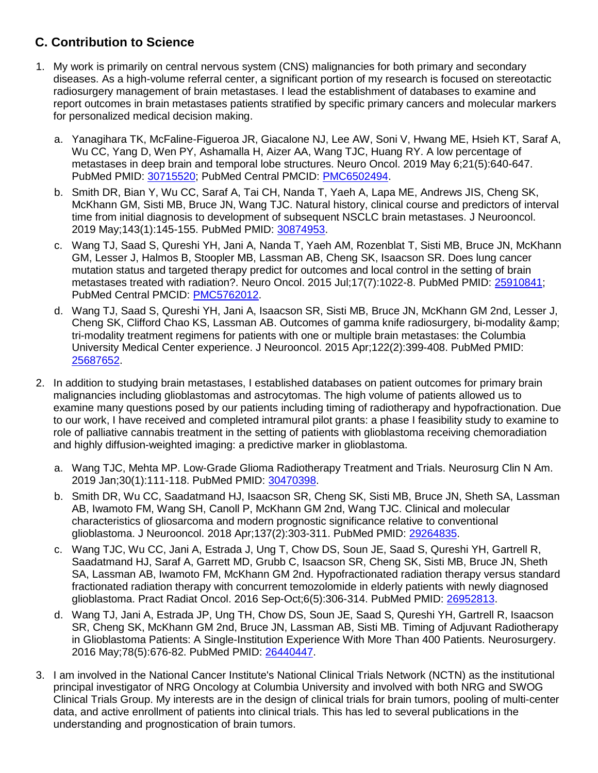# **C. Contribution to Science**

- 1. My work is primarily on central nervous system (CNS) malignancies for both primary and secondary diseases. As a high-volume referral center, a significant portion of my research is focused on stereotactic radiosurgery management of brain metastases. I lead the establishment of databases to examine and report outcomes in brain metastases patients stratified by specific primary cancers and molecular markers for personalized medical decision making.
	- a. Yanagihara TK, McFaline-Figueroa JR, Giacalone NJ, Lee AW, Soni V, Hwang ME, Hsieh KT, Saraf A, Wu CC, Yang D, Wen PY, Ashamalla H, Aizer AA, Wang TJC, Huang RY. A low percentage of metastases in deep brain and temporal lobe structures. Neuro Oncol. 2019 May 6;21(5):640-647. PubMed PMID: [30715520;](http://www.ncbi.nlm.nih.gov/pubmed/30715520/) PubMed Central PMCID: [PMC6502494.](http://www.ncbi.nlm.nih.gov/pmc/articles/PMC6502494/)
	- b. Smith DR, Bian Y, Wu CC, Saraf A, Tai CH, Nanda T, Yaeh A, Lapa ME, Andrews JIS, Cheng SK, McKhann GM, Sisti MB, Bruce JN, Wang TJC. Natural history, clinical course and predictors of interval time from initial diagnosis to development of subsequent NSCLC brain metastases. J Neurooncol. 2019 May;143(1):145-155. PubMed PMID: [30874953.](http://www.ncbi.nlm.nih.gov/pubmed/30874953/)
	- c. Wang TJ, Saad S, Qureshi YH, Jani A, Nanda T, Yaeh AM, Rozenblat T, Sisti MB, Bruce JN, McKhann GM, Lesser J, Halmos B, Stoopler MB, Lassman AB, Cheng SK, Isaacson SR. Does lung cancer mutation status and targeted therapy predict for outcomes and local control in the setting of brain metastases treated with radiation?. Neuro Oncol. 2015 Jul;17(7):1022-8. PubMed PMID: [25910841;](http://www.ncbi.nlm.nih.gov/pubmed/25910841/) PubMed Central PMCID: [PMC5762012.](http://www.ncbi.nlm.nih.gov/pmc/articles/PMC5762012/)
	- d. Wang TJ, Saad S, Qureshi YH, Jani A, Isaacson SR, Sisti MB, Bruce JN, McKhann GM 2nd, Lesser J, Cheng SK, Clifford Chao KS, Lassman AB. Outcomes of gamma knife radiosurgery, bi-modality & tri-modality treatment regimens for patients with one or multiple brain metastases: the Columbia University Medical Center experience. J Neurooncol. 2015 Apr;122(2):399-408. PubMed PMID: [25687652.](http://www.ncbi.nlm.nih.gov/pubmed/25687652/)
- 2. In addition to studying brain metastases, I established databases on patient outcomes for primary brain malignancies including glioblastomas and astrocytomas. The high volume of patients allowed us to examine many questions posed by our patients including timing of radiotherapy and hypofractionation. Due to our work, I have received and completed intramural pilot grants: a phase I feasibility study to examine to role of palliative cannabis treatment in the setting of patients with glioblastoma receiving chemoradiation and highly diffusion-weighted imaging: a predictive marker in glioblastoma.
	- a. Wang TJC, Mehta MP. Low-Grade Glioma Radiotherapy Treatment and Trials. Neurosurg Clin N Am. 2019 Jan;30(1):111-118. PubMed PMID: [30470398.](http://www.ncbi.nlm.nih.gov/pubmed/30470398/)
	- b. Smith DR, Wu CC, Saadatmand HJ, Isaacson SR, Cheng SK, Sisti MB, Bruce JN, Sheth SA, Lassman AB, Iwamoto FM, Wang SH, Canoll P, McKhann GM 2nd, Wang TJC. Clinical and molecular characteristics of gliosarcoma and modern prognostic significance relative to conventional glioblastoma. J Neurooncol. 2018 Apr;137(2):303-311. PubMed PMID: [29264835.](http://www.ncbi.nlm.nih.gov/pubmed/29264835/)
	- c. Wang TJC, Wu CC, Jani A, Estrada J, Ung T, Chow DS, Soun JE, Saad S, Qureshi YH, Gartrell R, Saadatmand HJ, Saraf A, Garrett MD, Grubb C, Isaacson SR, Cheng SK, Sisti MB, Bruce JN, Sheth SA, Lassman AB, Iwamoto FM, McKhann GM 2nd. Hypofractionated radiation therapy versus standard fractionated radiation therapy with concurrent temozolomide in elderly patients with newly diagnosed glioblastoma. Pract Radiat Oncol. 2016 Sep-Oct;6(5):306-314. PubMed PMID: [26952813.](http://www.ncbi.nlm.nih.gov/pubmed/26952813/)
	- d. Wang TJ, Jani A, Estrada JP, Ung TH, Chow DS, Soun JE, Saad S, Qureshi YH, Gartrell R, Isaacson SR, Cheng SK, McKhann GM 2nd, Bruce JN, Lassman AB, Sisti MB. Timing of Adjuvant Radiotherapy in Glioblastoma Patients: A Single-Institution Experience With More Than 400 Patients. Neurosurgery. 2016 May;78(5):676-82. PubMed PMID: [26440447.](http://www.ncbi.nlm.nih.gov/pubmed/26440447/)
- 3. I am involved in the National Cancer Institute's National Clinical Trials Network (NCTN) as the institutional principal investigator of NRG Oncology at Columbia University and involved with both NRG and SWOG Clinical Trials Group. My interests are in the design of clinical trials for brain tumors, pooling of multi-center data, and active enrollment of patients into clinical trials. This has led to several publications in the understanding and prognostication of brain tumors.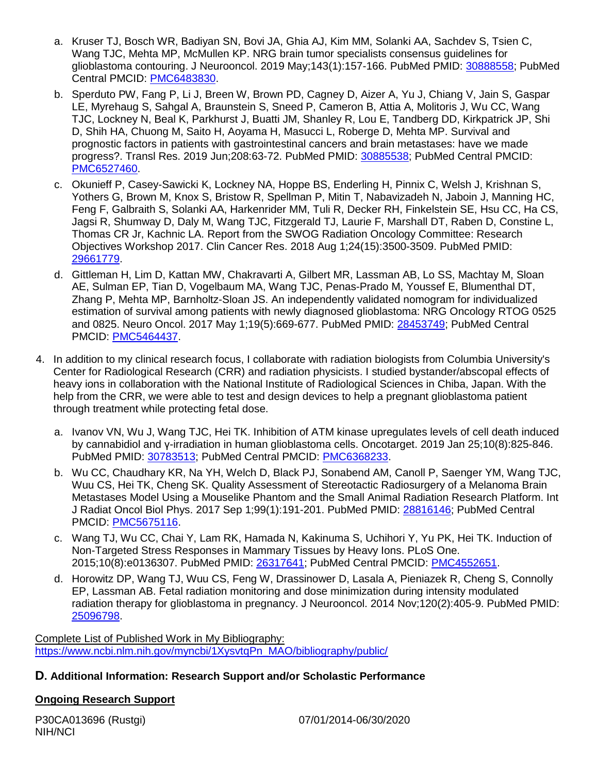- a. Kruser TJ, Bosch WR, Badiyan SN, Bovi JA, Ghia AJ, Kim MM, Solanki AA, Sachdev S, Tsien C, Wang TJC, Mehta MP, McMullen KP. NRG brain tumor specialists consensus guidelines for glioblastoma contouring. J Neurooncol. 2019 May;143(1):157-166. PubMed PMID: [30888558;](http://www.ncbi.nlm.nih.gov/pubmed/30888558/) PubMed Central PMCID: [PMC6483830.](http://www.ncbi.nlm.nih.gov/pmc/articles/PMC6483830/)
- b. Sperduto PW, Fang P, Li J, Breen W, Brown PD, Cagney D, Aizer A, Yu J, Chiang V, Jain S, Gaspar LE, Myrehaug S, Sahgal A, Braunstein S, Sneed P, Cameron B, Attia A, Molitoris J, Wu CC, Wang TJC, Lockney N, Beal K, Parkhurst J, Buatti JM, Shanley R, Lou E, Tandberg DD, Kirkpatrick JP, Shi D, Shih HA, Chuong M, Saito H, Aoyama H, Masucci L, Roberge D, Mehta MP. Survival and prognostic factors in patients with gastrointestinal cancers and brain metastases: have we made progress?. Transl Res. 2019 Jun;208:63-72. PubMed PMID: [30885538;](http://www.ncbi.nlm.nih.gov/pubmed/30885538/) PubMed Central PMCID: [PMC6527460.](http://www.ncbi.nlm.nih.gov/pmc/articles/PMC6527460/)
- c. Okunieff P, Casey-Sawicki K, Lockney NA, Hoppe BS, Enderling H, Pinnix C, Welsh J, Krishnan S, Yothers G, Brown M, Knox S, Bristow R, Spellman P, Mitin T, Nabavizadeh N, Jaboin J, Manning HC, Feng F, Galbraith S, Solanki AA, Harkenrider MM, Tuli R, Decker RH, Finkelstein SE, Hsu CC, Ha CS, Jagsi R, Shumway D, Daly M, Wang TJC, Fitzgerald TJ, Laurie F, Marshall DT, Raben D, Constine L, Thomas CR Jr, Kachnic LA. Report from the SWOG Radiation Oncology Committee: Research Objectives Workshop 2017. Clin Cancer Res. 2018 Aug 1;24(15):3500-3509. PubMed PMID: [29661779.](http://www.ncbi.nlm.nih.gov/pubmed/29661779/)
- d. Gittleman H, Lim D, Kattan MW, Chakravarti A, Gilbert MR, Lassman AB, Lo SS, Machtay M, Sloan AE, Sulman EP, Tian D, Vogelbaum MA, Wang TJC, Penas-Prado M, Youssef E, Blumenthal DT, Zhang P, Mehta MP, Barnholtz-Sloan JS. An independently validated nomogram for individualized estimation of survival among patients with newly diagnosed glioblastoma: NRG Oncology RTOG 0525 and 0825. Neuro Oncol. 2017 May 1;19(5):669-677. PubMed PMID: [28453749;](http://www.ncbi.nlm.nih.gov/pubmed/28453749/) PubMed Central PMCID: [PMC5464437.](http://www.ncbi.nlm.nih.gov/pmc/articles/PMC5464437/)
- 4. In addition to my clinical research focus, I collaborate with radiation biologists from Columbia University's Center for Radiological Research (CRR) and radiation physicists. I studied bystander/abscopal effects of heavy ions in collaboration with the National Institute of Radiological Sciences in Chiba, Japan. With the help from the CRR, we were able to test and design devices to help a pregnant glioblastoma patient through treatment while protecting fetal dose.
	- a. Ivanov VN, Wu J, Wang TJC, Hei TK. Inhibition of ATM kinase upregulates levels of cell death induced by cannabidiol and γ-irradiation in human glioblastoma cells. Oncotarget. 2019 Jan 25;10(8):825-846. PubMed PMID: [30783513;](http://www.ncbi.nlm.nih.gov/pubmed/30783513/) PubMed Central PMCID: [PMC6368233.](http://www.ncbi.nlm.nih.gov/pmc/articles/PMC6368233/)
	- b. Wu CC, Chaudhary KR, Na YH, Welch D, Black PJ, Sonabend AM, Canoll P, Saenger YM, Wang TJC, Wuu CS, Hei TK, Cheng SK. Quality Assessment of Stereotactic Radiosurgery of a Melanoma Brain Metastases Model Using a Mouselike Phantom and the Small Animal Radiation Research Platform. Int J Radiat Oncol Biol Phys. 2017 Sep 1;99(1):191-201. PubMed PMID: [28816146;](http://www.ncbi.nlm.nih.gov/pubmed/28816146/) PubMed Central PMCID: **PMC5675116**.
	- c. Wang TJ, Wu CC, Chai Y, Lam RK, Hamada N, Kakinuma S, Uchihori Y, Yu PK, Hei TK. Induction of Non-Targeted Stress Responses in Mammary Tissues by Heavy Ions. PLoS One. 2015;10(8):e0136307. PubMed PMID: [26317641;](http://www.ncbi.nlm.nih.gov/pubmed/26317641/) PubMed Central PMCID: [PMC4552651.](http://www.ncbi.nlm.nih.gov/pmc/articles/PMC4552651/)
	- d. Horowitz DP, Wang TJ, Wuu CS, Feng W, Drassinower D, Lasala A, Pieniazek R, Cheng S, Connolly EP, Lassman AB. Fetal radiation monitoring and dose minimization during intensity modulated radiation therapy for glioblastoma in pregnancy. J Neurooncol. 2014 Nov;120(2):405-9. PubMed PMID: [25096798.](http://www.ncbi.nlm.nih.gov/pubmed/25096798/)

Complete List of Published Work in My Bibliography: [https://www.ncbi.nlm.nih.gov/myncbi/1XysvtqPn\\_MAO/bibliography/public/](https://www.ncbi.nlm.nih.gov/myncbi/1XysvtqPn_MAO/bibliography/public/)

### **D. Additional Information: Research Support and/or Scholastic Performance**

### **Ongoing Research Support**

P30CA013696 (Rustgi) 07/01/2014-06/30/2020 NIH/NCI